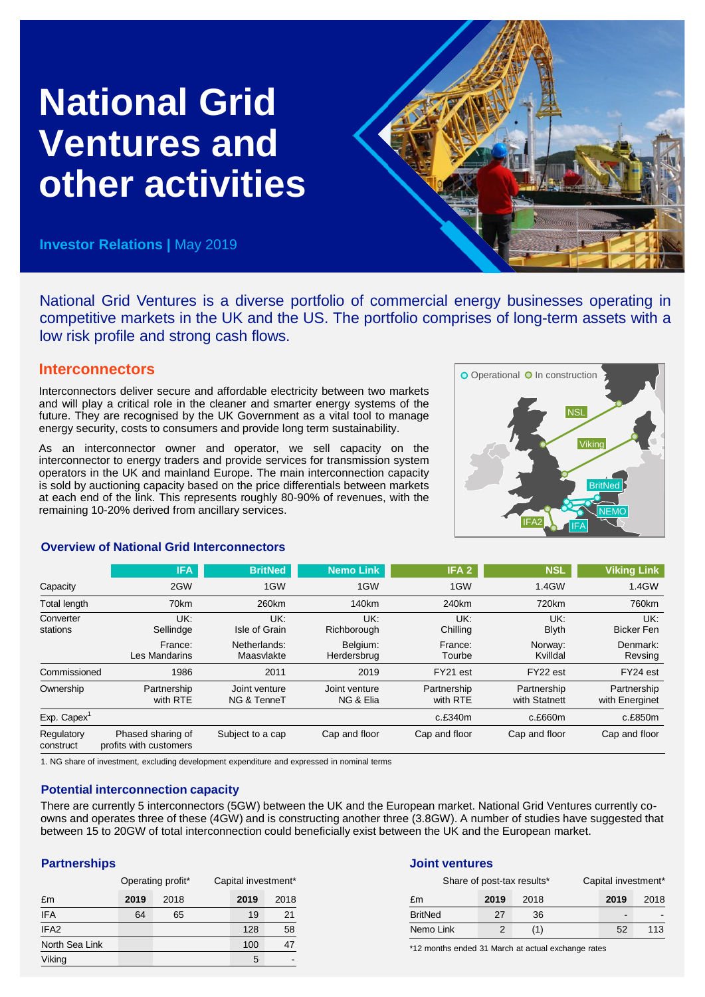# **National Grid Ventures and other activities**

**Investor Relations | May 2019** 

National Grid Ventures is a diverse portfolio of commercial energy businesses operating in competitive markets in the UK and the US. The portfolio comprises of long-term assets with a low risk profile and strong cash flows.

# **Interconnectors**

Interconnectors deliver secure and affordable electricity between two markets and will play a critical role in the cleaner and smarter energy systems of the future. They are recognised by the UK Government as a vital tool to manage energy security, costs to consumers and provide long term sustainability.

As an interconnector owner and operator, we sell capacity on the interconnector to energy traders and provide services for transmission system operators in the UK and mainland Europe. The main interconnection capacity is sold by auctioning capacity based on the price differentials between markets at each end of the link. This represents roughly 80-90% of revenues, with the remaining 10-20% derived from ancillary services.



# **Overview of National Grid Interconnectors**

|                         | <b>IFA</b>                                  | <b>BritNed</b>               | <b>Nemo Link</b>           | IFA <sub>2</sub>        | <b>NSL</b>                   | <b>Viking Link</b>            |
|-------------------------|---------------------------------------------|------------------------------|----------------------------|-------------------------|------------------------------|-------------------------------|
| Capacity                | 2GW                                         | 1GW                          | 1GW                        | 1GW                     | 1.4GW                        | 1.4GW                         |
| <b>Total length</b>     | 70km                                        | 260km                        | 140km                      | 240 <sub>km</sub>       | 720km                        | 760km                         |
| Converter<br>stations   | UK:<br>Sellindge                            | UK:<br>Isle of Grain         | UK:<br>Richborough         | UK:<br>Chilling         | UK:<br><b>Blyth</b>          | UK:<br><b>Bicker Fen</b>      |
|                         | France:<br>Les Mandarins                    | Netherlands:<br>Maasvlakte   | Belgium:<br>Herdersbrug    | France:<br>Tourbe       | Norway:<br>Kvilldal          | Denmark:<br>Revsing           |
| Commissioned            | 1986                                        | 2011                         | 2019                       | FY21 est                | FY22 est                     | FY24 est                      |
| Ownership               | Partnership<br>with RTE                     | Joint venture<br>NG & TenneT | Joint venture<br>NG & Elia | Partnership<br>with RTE | Partnership<br>with Statnett | Partnership<br>with Energinet |
| Exp. Capex <sup>1</sup> |                                             |                              |                            | c.E340m                 | c.E660m                      | c.E850m                       |
| Regulatory<br>construct | Phased sharing of<br>profits with customers | Subject to a cap             | Cap and floor              | Cap and floor           | Cap and floor                | Cap and floor                 |

1. NG share of investment, excluding development expenditure and expressed in nominal terms

# **Potential interconnection capacity**

There are currently 5 interconnectors (5GW) between the UK and the European market. National Grid Ventures currently coowns and operates three of these (4GW) and is constructing another three (3.8GW). A number of studies have suggested that between 15 to 20GW of total interconnection could beneficially exist between the UK and the European market.

# **Partnerships**

|                  | Operating profit* |      | Capital investment* |      |  |
|------------------|-------------------|------|---------------------|------|--|
| £m               | 2019              | 2018 | 2019                | 2018 |  |
| <b>IFA</b>       | 64                | 65   | 19                  | 21   |  |
| IFA <sub>2</sub> |                   |      | 128                 | 58   |  |
| North Sea Link   |                   |      | 100                 |      |  |
| Viking           |                   |      | 5                   |      |  |

# **Joint ventures**

| Share of post-tax results* |      |      | Capital investment* |      |  |
|----------------------------|------|------|---------------------|------|--|
| £m                         | 2019 | 2018 | 2019                | 2018 |  |
| <b>BritNed</b>             | 27   | 36.  |                     |      |  |
| Nemo Link                  |      |      | 52                  | 113  |  |

\*12 months ended 31 March at actual exchange rates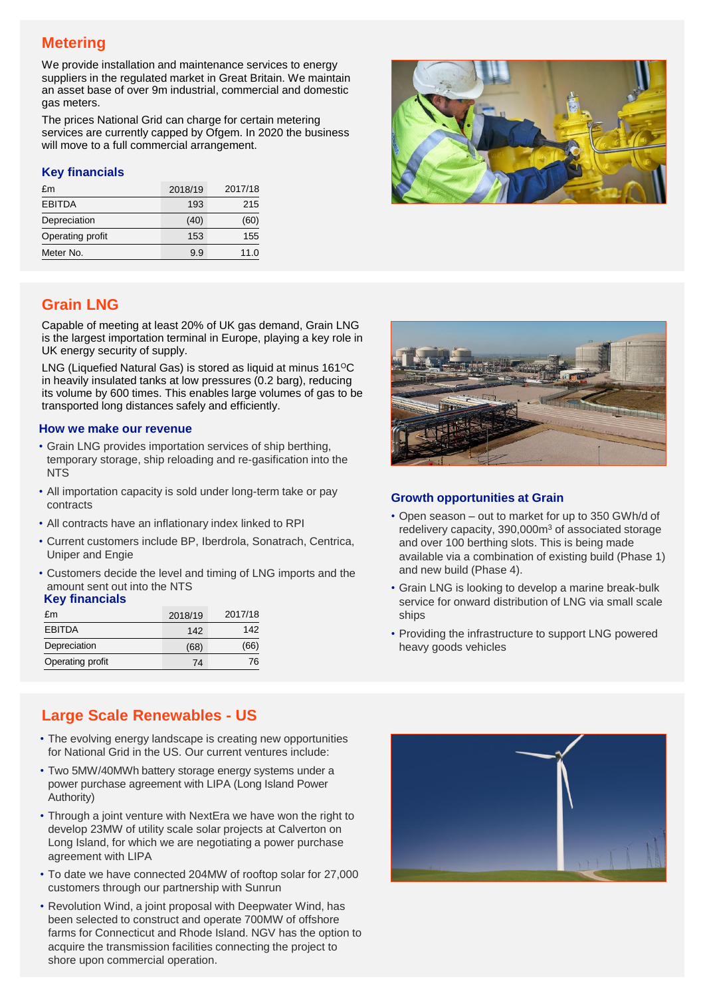# **Metering**

We provide installation and maintenance services to energy suppliers in the regulated market in Great Britain. We maintain an asset base of over 9m industrial, commercial and domestic gas meters.

The prices National Grid can charge for certain metering services are currently capped by Ofgem. In 2020 the business will move to a full commercial arrangement.

# **Key financials**

| £m               | 2018/19 | 2017/18 |
|------------------|---------|---------|
| <b>EBITDA</b>    | 193     | 215     |
| Depreciation     | (40)    | (60)    |
| Operating profit | 153     | 155     |
| Meter No.        | 9.9     | 11.0    |



# **Grain LNG**

Capable of meeting at least 20% of UK gas demand, Grain LNG is the largest importation terminal in Europe, playing a key role in UK energy security of supply.

LNG (Liquefied Natural Gas) is stored as liquid at minus 161°C in heavily insulated tanks at low pressures (0.2 barg), reducing its volume by 600 times. This enables large volumes of gas to be transported long distances safely and efficiently.

#### **How we make our revenue**

- Grain LNG provides importation services of ship berthing, temporary storage, ship reloading and re-gasification into the **NTS**
- All importation capacity is sold under long-term take or pay contracts
- All contracts have an inflationary index linked to RPI
- Current customers include BP, Iberdrola, Sonatrach, Centrica, Uniper and Engie
- **Key financials** • Customers decide the level and timing of LNG imports and the amount sent out into the NTS

| £m               | 2018/19 | 2017/18 |
|------------------|---------|---------|
| <b>EBITDA</b>    | 142     | 142     |
| Depreciation     | (68)    | (66)    |
| Operating profit | 74      | 76      |

# **Large Scale Renewables - US**

- The evolving energy landscape is creating new opportunities for National Grid in the US. Our current ventures include:
- Two 5MW/40MWh battery storage energy systems under a power purchase agreement with LIPA (Long Island Power Authority)
- Through a joint venture with NextEra we have won the right to develop 23MW of utility scale solar projects at Calverton on Long Island, for which we are negotiating a power purchase agreement with LIPA
- To date we have connected 204MW of rooftop solar for 27,000 customers through our partnership with Sunrun
- Revolution Wind, a joint proposal with Deepwater Wind, has been selected to construct and operate 700MW of offshore farms for Connecticut and Rhode Island. NGV has the option to acquire the transmission facilities connecting the project to shore upon commercial operation.



# **Growth opportunities at Grain**

- Open season out to market for up to 350 GWh/d of redelivery capacity, 390,000m<sup>3</sup> of associated storage and over 100 berthing slots. This is being made available via a combination of existing build (Phase 1) and new build (Phase 4).
- Grain LNG is looking to develop a marine break-bulk service for onward distribution of LNG via small scale ships
- Providing the infrastructure to support LNG powered heavy goods vehicles